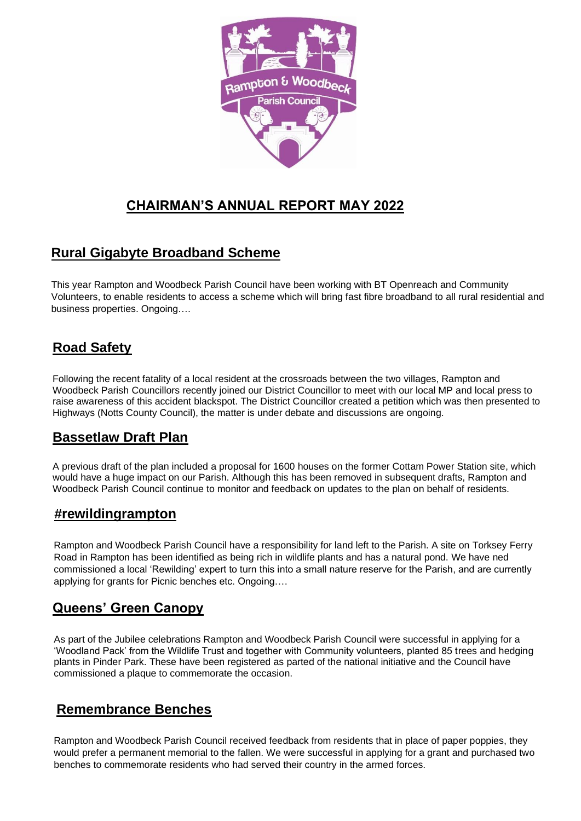

# **CHAIRMAN'S ANNUAL REPORT MAY 2022**

### **Rural Gigabyte Broadband Scheme**

 This year Rampton and Woodbeck Parish Council have been working with BT Openreach and Community Volunteers, to enable residents to access a scheme which will bring fast fibre broadband to all rural residential and business properties. Ongoing….

## **Road Safety**

Following the recent fatality of a local resident at the crossroads between the two villages, Rampton and Woodbeck Parish Councillors recently joined our District Councillor to meet with our local MP and local press to raise awareness of this accident blackspot. The District Councillor created a petition which was then presented to Highways (Notts County Council), the matter is under debate and discussions are ongoing.

#### **Bassetlaw Draft Plan**

A previous draft of the plan included a proposal for 1600 houses on the former Cottam Power Station site, which would have a huge impact on our Parish. Although this has been removed in subsequent drafts, Rampton and Woodbeck Parish Council continue to monitor and feedback on updates to the plan on behalf of residents.

#### **#rewildingrampton**

 Rampton and Woodbeck Parish Council have a responsibility for land left to the Parish. A site on Torksey Ferry Road in Rampton has been identified as being rich in wildlife plants and has a natural pond. We have ned commissioned a local 'Rewilding' expert to turn this into a small nature reserve for the Parish, and are currently applying for grants for Picnic benches etc. Ongoing….

#### **Queens' Green Canopy**

 As part of the Jubilee celebrations Rampton and Woodbeck Parish Council were successful in applying for a 'Woodland Pack' from the Wildlife Trust and together with Community volunteers, planted 85 trees and hedging plants in Pinder Park. These have been registered as parted of the national initiative and the Council have commissioned a plaque to commemorate the occasion.

#### **Remembrance Benches**

 Rampton and Woodbeck Parish Council received feedback from residents that in place of paper poppies, they would prefer a permanent memorial to the fallen. We were successful in applying for a grant and purchased two benches to commemorate residents who had served their country in the armed forces.